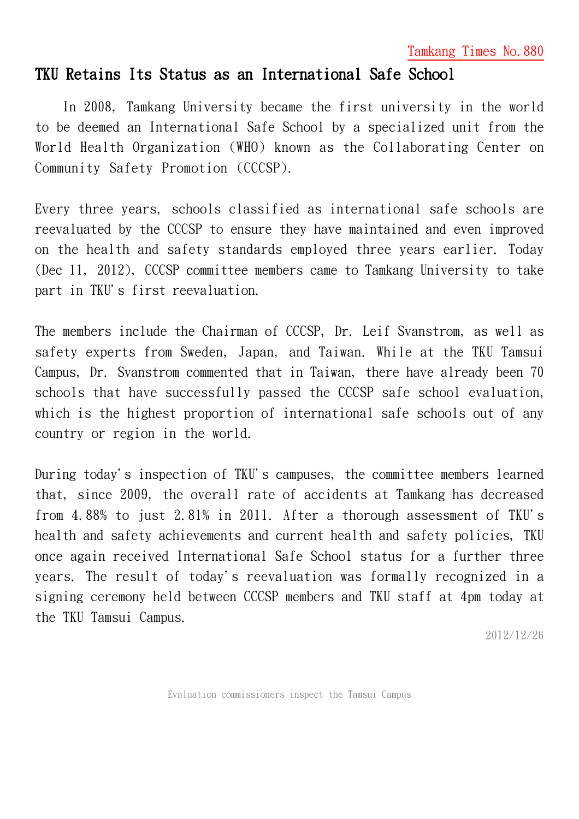Tamkang Times No.880

## TKU Retains Its Status as an International Safe School

In 2008, Tamkang University became the first university in the world to be deemed an International Safe School by a specialized unit from the World Health Organization (WHO) known as the Collaborating Center on Community Safety Promotion (CCCSP).

Every three years, schools classified as international safe schools are reevaluated by the CCCSP to ensure they have maintained and even improved on the health and safety standards employed three years earlier. Today (Dec 11, 2012), CCCSP committee members came to Tamkang University to take part in TKU's first reevaluation.

The members include the Chairman of CCCSP, Dr. Leif Svanstrom, as well as safety experts from Sweden, Japan, and Taiwan. While at the TKU Tamsui Campus, Dr. Svanstrom commented that in Taiwan, there have already been 70 schools that have successfully passed the CCCSP safe school evaluation, which is the highest proportion of international safe schools out of any country or region in the world.

During today's inspection of TKU's campuses, the committee members learned that, since 2009, the overall rate of accidents at Tamkang has decreased from 4.88% to just 2.81% in 2011. After a thorough assessment of TKU's health and safety achievements and current health and safety policies, TKU once again received International Safe School status for a further three years. The result of today's reevaluation was formally recognized in a signing ceremony held between CCCSP members and TKU staff at 4pm today at the TKU Tamsui Campus.

2012/12/26